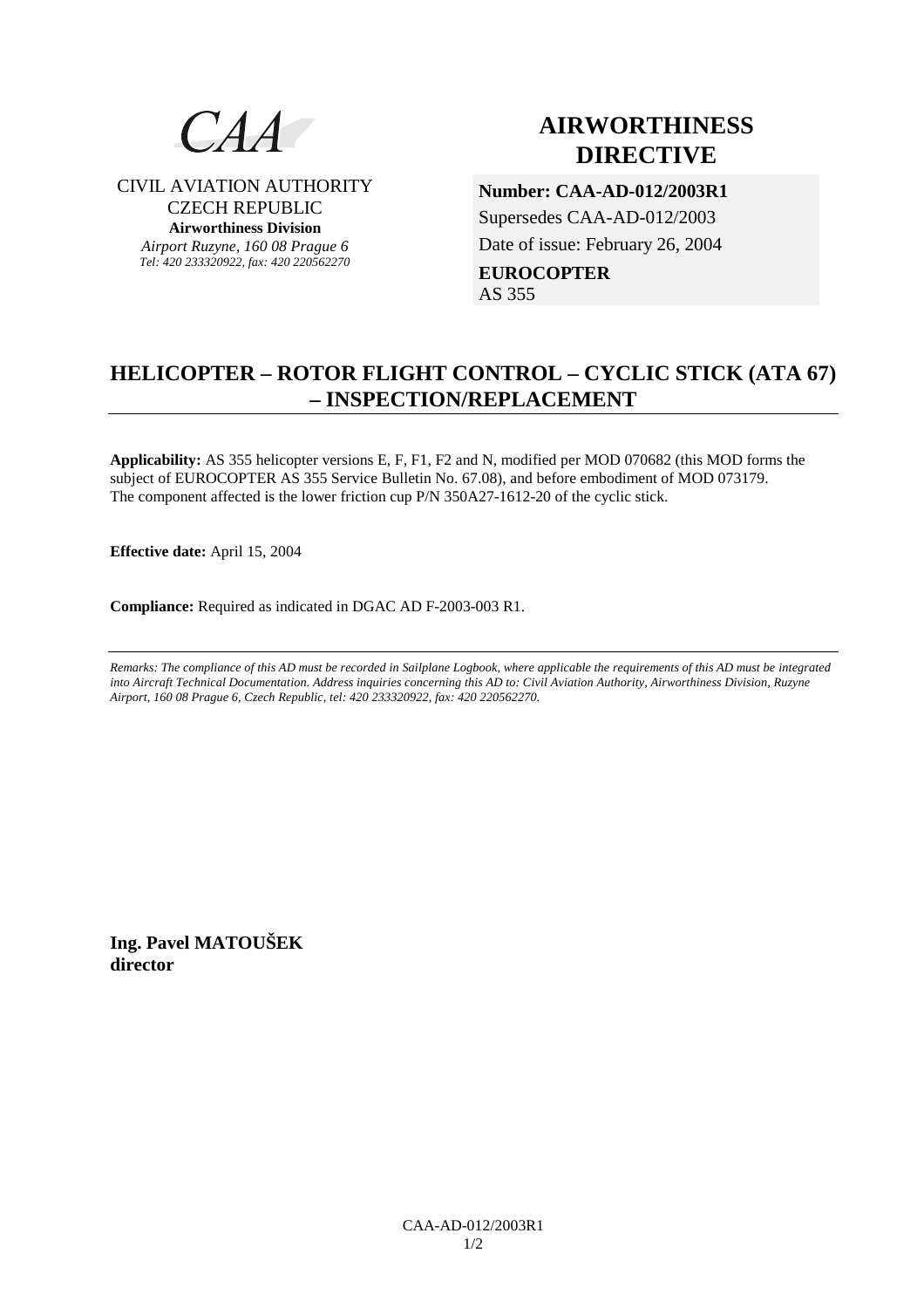

CIVIL AVIATION AUTHORITY CZECH REPUBLIC **Airworthiness Division**  *Airport Ruzyne, 160 08 Prague 6 Tel: 420 233320922, fax: 420 220562270*

# **AIRWORTHINESS DIRECTIVE**

**Number: CAA-AD-012/2003R1**  Supersedes CAA-AD-012/2003 Date of issue: February 26, 2004 **EUROCOPTER**  AS 355

## **HELICOPTER – ROTOR FLIGHT CONTROL – CYCLIC STICK (ATA 67) – INSPECTION/REPLACEMENT**

**Applicability:** AS 355 helicopter versions E, F, F1, F2 and N, modified per MOD 070682 (this MOD forms the subject of EUROCOPTER AS 355 Service Bulletin No. 67.08), and before embodiment of MOD 073179. The component affected is the lower friction cup P/N 350A27-1612-20 of the cyclic stick.

**Effective date:** April 15, 2004

**Compliance:** Required as indicated in DGAC AD F-2003-003 R1.

*Remarks: The compliance of this AD must be recorded in Sailplane Logbook, where applicable the requirements of this AD must be integrated into Aircraft Technical Documentation. Address inquiries concerning this AD to: Civil Aviation Authority, Airworthiness Division, Ruzyne Airport, 160 08 Prague 6, Czech Republic, tel: 420 233320922, fax: 420 220562270.* 

**Ing. Pavel MATOUŠEK director**